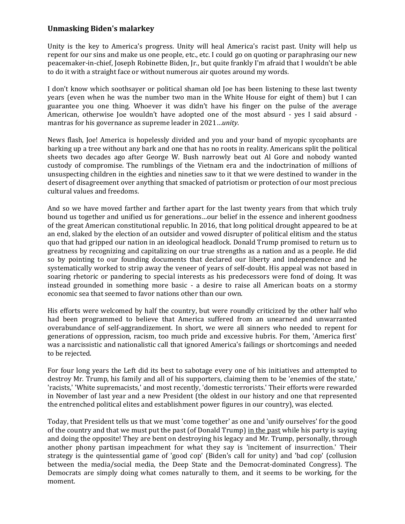## **Unmasking Biden's malarkey**

Unity is the key to America's progress. Unity will heal America's racist past. Unity will help us repent for our sins and make us one people, etc., etc. I could go on quoting or paraphrasing our new peacemaker-in-chief, Joseph Robinette Biden, Jr., but quite frankly I'm afraid that I wouldn't be able to do it with a straight face or without numerous air quotes around my words.

I don't know which soothsayer or political shaman old Joe has been listening to these last twenty years (even when he was the number two man in the White House for eight of them) but I can guarantee you one thing. Whoever it was didn't have his finger on the pulse of the average American, otherwise Joe wouldn't have adopted one of the most absurd - yes I said absurd mantras for his governance as supreme leader in 2021…*unity*.

News flash, Joe! America is hopelessly divided and you and your band of myopic sycophants are barking up a tree without any bark and one that has no roots in reality. Americans split the political sheets two decades ago after George W. Bush narrowly beat out Al Gore and nobody wanted custody of compromise. The rumblings of the Vietnam era and the indoctrination of millions of unsuspecting children in the eighties and nineties saw to it that we were destined to wander in the desert of disagreement over anything that smacked of patriotism or protection of our most precious cultural values and freedoms.

And so we have moved farther and farther apart for the last twenty years from that which truly bound us together and unified us for generations…our belief in the essence and inherent goodness of the great American constitutional republic. In 2016, that long political drought appeared to be at an end, slaked by the election of an outsider and vowed disrupter of political elitism and the status quo that had gripped our nation in an ideological headlock. Donald Trump promised to return us to greatness by recognizing and capitalizing on our true strengths as a nation and as a people. He did so by pointing to our founding documents that declared our liberty and independence and he systematically worked to strip away the veneer of years of self-doubt. His appeal was not based in soaring rhetoric or pandering to special interests as his predecessors were fond of doing. It was instead grounded in something more basic - a desire to raise all American boats on a stormy economic sea that seemed to favor nations other than our own.

His efforts were welcomed by half the country, but were roundly criticized by the other half who had been programmed to believe that America suffered from an unearned and unwarranted overabundance of self-aggrandizement. In short, we were all sinners who needed to repent for generations of oppression, racism, too much pride and excessive hubris. For them, 'America first' was a narcissistic and nationalistic call that ignored America's failings or shortcomings and needed to be rejected.

For four long years the Left did its best to sabotage every one of his initiatives and attempted to destroy Mr. Trump, his family and all of his supporters, claiming them to be 'enemies of the state,' 'racists,' 'White supremacists,' and most recently, 'domestic terrorists.' Their efforts were rewarded in November of last year and a new President (the oldest in our history and one that represented the entrenched political elites and establishment power figures in our country), was elected.

Today, that President tells us that we must 'come together' as one and 'unify ourselves' for the good of the country and that we must put the past (of Donald Trump) in the past while his party is saying and doing the opposite! They are bent on destroying his legacy and Mr. Trump, personally, through another phony partisan impeachment for what they say is 'incitement of insurrection.' Their strategy is the quintessential game of 'good cop' (Biden's call for unity) and 'bad cop' (collusion between the media/social media, the Deep State and the Democrat-dominated Congress). The Democrats are simply doing what comes naturally to them, and it seems to be working, for the moment.